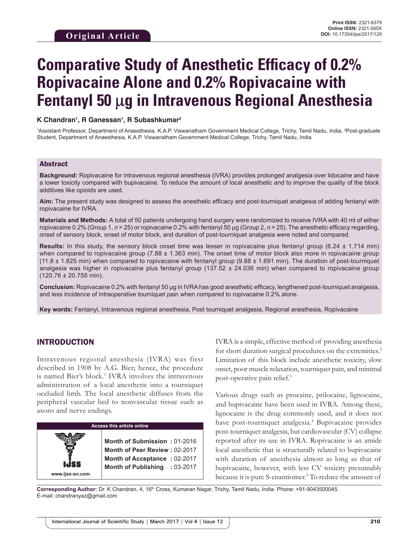# **Comparative Study of Anesthetic Efficacy of 0.2% Ropivacaine Alone and 0.2% Ropivacaine with Fentanyl 50** µ**g in Intravenous Regional Anesthesia**

#### **K Chandran1 , R Ganessan1 , R Subashkumar2**

<sup>1</sup>Assistant Professor, Department of Anaesthesia, K.A.P. Viswanatham Government Medical College, Trichy, Tamil Nadu, India, <sup>2</sup>Post-graduate Student, Department of Anaesthesia, K.A.P. Viswanatham Government Medical College, Trichy, Tamil Nadu, India

#### Abstract

**Background:** Ropivacaine for intravenous regional anesthesia (IVRA) provides prolonged analgesia over lidocaine and have a lower toxicity compared with bupivacaine. To reduce the amount of local anesthetic and to improve the quality of the block additives like opioids are used.

**Aim:** The present study was designed to assess the anesthetic efficacy and post-tourniquet analgesia of adding fentanyl with ropivacaine for IVRA.

**Materials and Methods:** A total of 50 patients undergoing hand surgery were randomized to receive IVRA with 40 ml of either ropivacaine 0.2% (Group 1, *n* = 25) or ropivacaine 0.2% with fentanyl 50 μg (Group 2, *n* = 25). The anesthetic efficacy regarding, onset of sensory block, onset of motor block, and duration of post-tourniquet analgesia were noted and compared.

**Results:** In this study, the sensory block onset time was lesser in ropivacaine plus fentanyl group (6.24 ± 1.714 min) when compared to ropivacaine group  $(7.88 \pm 1.363 \text{ min})$ . The onset time of motor block also more in ropivacaine group  $(11.8 \pm 1.825$  min) when compared to ropivacaine with fentanyl group  $(9.88 \pm 1.691$  min). The duration of post-tourniquet analgesia was higher in ropivacaine plus fentanyl group (137.52 ± 24.036 min) when compared to ropivacaine group (120.76 ± 20.755 min).

**Conclusion:** Ropivacaine 0.2% with fentanyl 50 μg in IVRA has good anesthetic efficacy, lengthened post-tourniquet analgesia, and less incidence of intraoperative tourniquet pain when compared to ropivacaine 0.2% alone.

**Key words:** Fentanyl, Intravenous regional anesthesia, Post tourniquet analgesia, Regional anesthesia, Ropivacaine

# INTRODUCTION

Intravenous regional anesthesia (IVRA) was first described in 1908 by A.G. Bier; hence, the procedure is named Bier's block.<sup>1</sup> IVRA involves the intravenous administration of a local anesthetic into a tourniquet occluded limb. The local anesthetic diffuses from the peripheral vascular bed to nonvascular tissue such as axons and nerve endings.



IVRA is a simple, effective method of providing anesthesia for short duration surgical procedures on the extremities.<sup>2</sup> Limitation of this block include anesthetic toxicity, slow onset, poor muscle relaxation, tourniquet pain, and minimal post-operative pain relief.3

Various drugs such as procaine, prilocaine, lignocaine, and bupivacaine have been used in IVRA. Among these, lignocaine is the drug commonly used, and it does not have post-tourniquet analgesia.4 Bupivacaine provides post-tourniquet analgesia, but cardiovascular (CV) collapse reported after its use in IVRA. Ropivacaine is an amide local anesthetic that is structurally related to bupivacaine with duration of anesthesia almost as long as that of bupivacaine, however, with less CV toxicity presumably because it is pure S-enantiomer.<sup>5</sup> To reduce the amount of

Corresponding Author: Dr. K Chandran, 4, 16<sup>th</sup> Cross, Kumaran Nagar, Trichy, Tamil Nadu, India. Phone: +91-9043500045. E-mail: chandranyaz@gmail.com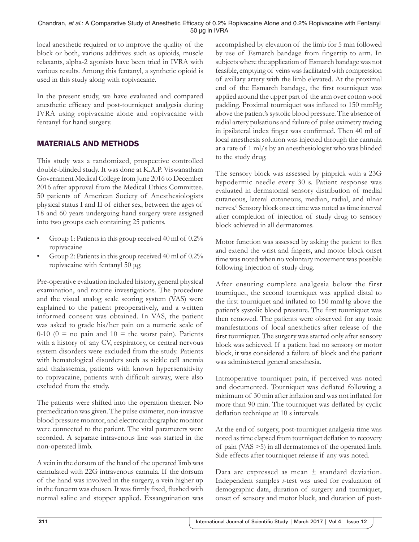Chandran, *et al*.: A Comparative Study of Anesthetic Efficacy of 0.2% Ropivacaine Alone and 0.2% Ropivacaine with Fentanyl 50 µg in IVRA

local anesthetic required or to improve the quality of the block or both, various additives such as opioids, muscle relaxants, alpha-2 agonists have been tried in IVRA with various results. Among this fentanyl, a synthetic opioid is used in this study along with ropivacaine.

In the present study, we have evaluated and compared anesthetic efficacy and post-tourniquet analgesia during IVRA using ropivacaine alone and ropivacaine with fentanyl for hand surgery.

# MATERIALS AND METHODS

This study was a randomized, prospective controlled double-blinded study. It was done at K.A.P. Viswanatham Government Medical College from June 2016 to December 2016 after approval from the Medical Ethics Committee. 50 patients of American Society of Anesthesiologists physical status I and II of either sex, between the ages of 18 and 60 years undergoing hand surgery were assigned into two groups each containing 25 patients.

- Group 1: Patients in this group received 40 ml of 0.2% ropivacaine
- Group 2: Patients in this group received 40 ml of 0.2% ropivacaine with fentanyl 50 μg.

Pre-operative evaluation included history, general physical examination, and routine investigations. The procedure and the visual analog scale scoring system (VAS) were explained to the patient preoperatively, and a written informed consent was obtained. In VAS, the patient was asked to grade his/her pain on a numeric scale of  $0-10$  ( $0 =$  no pain and  $10 =$  the worst pain). Patients with a history of any CV, respiratory, or central nervous system disorders were excluded from the study. Patients with hematological disorders such as sickle cell anemia and thalassemia, patients with known hypersensitivity to ropivacaine, patients with difficult airway, were also excluded from the study.

The patients were shifted into the operation theater. No premedication was given. The pulse oximeter, non-invasive blood pressure monitor, and electrocardiographic monitor were connected to the patient. The vital parameters were recorded. A separate intravenous line was started in the non-operated limb.

A vein in the dorsum of the hand of the operated limb was cannulated with 22G intravenous cannula. If the dorsum of the hand was involved in the surgery, a vein higher up in the forearm was chosen. It was firmly fixed, flushed with normal saline and stopper applied. Exsanguination was accomplished by elevation of the limb for 5 min followed by use of Esmarch bandage from fingertip to arm. In subjects where the application of Esmarch bandage was not feasible, emptying of veins was facilitated with compression of axillary artery with the limb elevated. At the proximal end of the Esmarch bandage, the first tourniquet was applied around the upper part of the arm over cotton wool padding. Proximal tourniquet was inflated to 150 mmHg above the patient's systolic blood pressure. The absence of radial artery pulsations and failure of pulse oximetry tracing in ipsilateral index finger was confirmed. Then 40 ml of local anesthesia solution was injected through the cannula at a rate of 1 ml/s by an anesthesiologist who was blinded to the study drug.

The sensory block was assessed by pinprick with a 23G hypodermic needle every 30 s. Patient response was evaluated in dermatomal sensory distribution of medial cutaneous, lateral cutaneous, median, radial, and ulnar nerves.6 Sensory block onset time was noted as time interval after completion of injection of study drug to sensory block achieved in all dermatomes.

Motor function was assessed by asking the patient to flex and extend the wrist and fingers, and motor block onset time was noted when no voluntary movement was possible following Injection of study drug.

After ensuring complete analgesia below the first tourniquet, the second tourniquet was applied distal to the first tourniquet and inflated to 150 mmHg above the patient's systolic blood pressure. The first tourniquet was then removed. The patients were observed for any toxic manifestations of local anesthetics after release of the first tourniquet. The surgery was started only after sensory block was achieved. If a patient had no sensory or motor block, it was considered a failure of block and the patient was administered general anesthesia.

Intraoperative tourniquet pain, if perceived was noted and documented. Tourniquet was deflated following a minimum of 30 min after inflation and was not inflated for more than 90 min. The tourniquet was deflated by cyclic deflation technique at 10 s intervals.

At the end of surgery, post-tourniquet analgesia time was noted as time elapsed from tourniquet deflation to recovery of pain (VAS >5) in all dermatomes of the operated limb. Side effects after tourniquet release if any was noted.

Data are expressed as mean  $\pm$  standard deviation. Independent samples *t*-test was used for evaluation of demographic data, duration of surgery and tourniquet, onset of sensory and motor block, and duration of post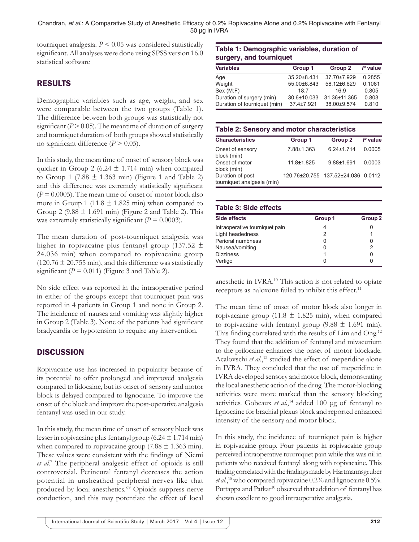tourniquet analgesia.  $P \leq 0.05$  was considered statistically significant. All analyses were done using SPSS version 16.0 statistical software

# RESULTS

Demographic variables such as age, weight, and sex were comparable between the two groups (Table 1). The difference between both groups was statistically not significant  $(P > 0.05)$ . The meantime of duration of surgery and tourniquet duration of both groups showed statistically no significant difference  $(P > 0.05)$ .

In this study, the mean time of onset of sensory block was quicker in Group 2 (6.24  $\pm$  1.714 min) when compared to Group 1 (7.88  $\pm$  1.363 min) (Figure 1 and Table 2) and this difference was extremely statistically significant  $(P = 0.0005)$ . The mean time of onset of motor block also more in Group 1 (11.8  $\pm$  1.825 min) when compared to Group 2 (9.88  $\pm$  1.691 min) (Figure 2 and Table 2). This was extremely statistically significant  $(P = 0.0003)$ .

The mean duration of post-tourniquet analgesia was higher in ropivacaine plus fentanyl group (137.52  $\pm$ 24.036 min) when compared to ropivacaine group  $(120.76 \pm 20.755 \text{ min})$ , and this difference was statistically significant  $(P = 0.011)$  (Figure 3 and Table 2).

No side effect was reported in the intraoperative period in either of the groups except that tourniquet pain was reported in 4 patients in Group 1 and none in Group 2. The incidence of nausea and vomiting was slightly higher in Group 2 (Table 3). None of the patients had significant bradycardia or hypotension to require any intervention.

# **DISCUSSION**

Ropivacaine use has increased in popularity because of its potential to offer prolonged and improved analgesia compared to lidocaine, but its onset of sensory and motor block is delayed compared to lignocaine. To improve the onset of the block and improve the post-operative analgesia fentanyl was used in our study.

In this study, the mean time of onset of sensory block was lesser in ropivacaine plus fentanyl group (6.24  $\pm$  1.714 min) when compared to ropivacaine group  $(7.88 \pm 1.363 \text{ min})$ . These values were consistent with the findings of Niemi *et al*. 7 The peripheral analgesic effect of opioids is still controversial. Perineural fentanyl decreases the action potential in unsheathed peripheral nerves like that produced by local anesthetics.8,9 Opioids suppress nerve conduction, and this may potentiate the effect of local

# **Table 1: Demographic variables, duration of surgery, and tourniquet**

| <b>Variables</b>             | Group 1          | Group 2      | P value |
|------------------------------|------------------|--------------|---------|
| Age                          | 35.20±8.431      | 37.70±7.929  | 0.2855  |
| Weight                       | 55.00±6.843      | 58.12±6.629  | 0.1081  |
| Sex (M:F)                    | 18.7             | 16.9         | 0.805   |
| Duration of surgery (min)    | 30.6±10.033      | 31.36±11.365 | 0.803   |
| Duration of tourniquet (min) | $37.4 \pm 7.921$ | 38.00±9.574  | 0.810   |

# **Table 2: Sensory and motor characteristics**

| <b>Characteristics</b>                         | Group 1        | Group 2                            | P value |
|------------------------------------------------|----------------|------------------------------------|---------|
| Onset of sensory<br>block (min)                | 7.88±1.363     | $6.24 \pm 1.714$                   | 0.0005  |
| Onset of motor<br>block (min)                  | $11.8 + 1.825$ | $9.88 + 1.691$                     | 0.0003  |
| Duration of post<br>tourniquet analgesia (min) |                | 120.76±20.755 137.52±24.036 0.0112 |         |

# **Table 3: Side effects**

| <b>Side effects</b>            | Group 1 | Group <sub>2</sub> |
|--------------------------------|---------|--------------------|
| Intraoperative tourniquet pain |         |                    |
| Light headedness               |         |                    |
| Perioral numbness              |         |                    |
| Nausea/vomiting                |         | 2                  |
| <b>Dizziness</b>               |         |                    |
| Vertigo                        |         |                    |

anesthetic in IVRA.10 This action is not related to opiate receptors as naloxone failed to inhibit this effect.<sup>11</sup>

The mean time of onset of motor block also longer in ropivacaine group (11.8  $\pm$  1.825 min), when compared to ropivacaine with fentanyl group  $(9.88 \pm 1.691 \text{ min})$ . This finding correlated with the results of Lim and Ong.<sup>12</sup> They found that the addition of fentanyl and mivacurium to the prilocaine enhances the onset of motor blockade. Acalovschi et al.,<sup>13</sup> studied the effect of meperidine alone in IVRA. They concluded that the use of meperidine in IVRA developed sensory and motor block, demonstrating the local anesthetic action of the drug. The motor-blocking activities were more marked than the sensory blocking activities. Gobeaux *et al*.,14 added 100 μg of fentanyl to lignocaine for brachial plexus block and reported enhanced intensity of the sensory and motor block.

In this study, the incidence of tourniquet pain is higher in ropivacaine group. Four patients in ropivacaine group perceived intraoperative tourniquet pain while this was nil in patients who received fentanyl along with ropivacaine. This finding correlated with the findings made by Hartmannsgruber *et al*.,15 who compared ropivacaine 0.2% and lignocaine 0.5%. Puttappa and Patkar<sup>10</sup> observed that addition of fentanyl has shown excellent to good intraoperative analgesia.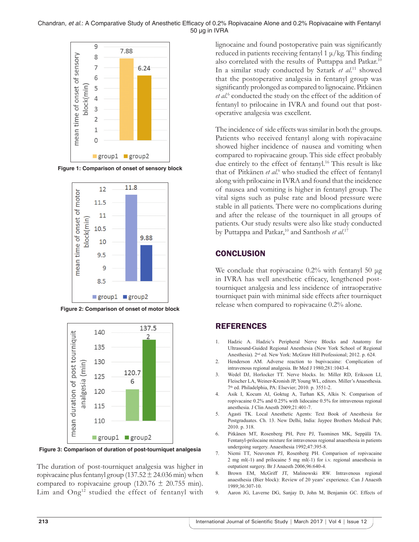#### Chandran, *et al*.: A Comparative Study of Anesthetic Efficacy of 0.2% Ropivacaine Alone and 0.2% Ropivacaine with Fentanyl 50 µg in IVRA



**Figure 1: Comparison of onset of sensory block**



**Figure 2: Comparison of onset of motor block**



**Figure 3: Comparison of duration of post-tourniquet analgesia**

The duration of post-tourniquet analgesia was higher in ropivacaine plus fentanyl group (137.52  $\pm$  24.036 min) when compared to ropivacaine group (120.76  $\pm$  20.755 min). Lim and Ong<sup>12</sup> studied the effect of fentanyl with lignocaine and found postoperative pain was significantly reduced in patients receiving fentanyl 1  $\mu$ /kg. This finding also correlated with the results of Puttappa and Patkar.10 In a similar study conducted by Sztark *et al*. 11 showed that the postoperative analgesia in fentanyl group was significantly prolonged as compared to lignocaine. Pitkänen et al.<sup>6</sup> conducted the study on the effect of the addition of fentanyl to prilocaine in IVRA and found out that postoperative analgesia was excellent.

The incidence of side effects was similar in both the groups. Patients who received fentanyl along with ropivacaine showed higher incidence of nausea and vomiting when compared to ropivacaine group. This side effect probably due entirely to the effect of fentanyl.<sup>16</sup> This result is like that of Pitkänen et al.<sup>6</sup> who studied the effect of fentanyl along with prilocaine in IVRA and found that the incidence of nausea and vomiting is higher in fentanyl group. The vital signs such as pulse rate and blood pressure were stable in all patients. There were no complications during and after the release of the tourniquet in all groups of patients. Our study results were also like study conducted by Puttappa and Patkar,<sup>10</sup> and Santhosh *et al*.<sup>17</sup>

# **CONCLUSION**

We conclude that ropivacaine 0.2% with fentanyl 50 μg in IVRA has well anesthetic efficacy, lengthened posttourniquet analgesia and less incidence of intraoperative tourniquet pain with minimal side effects after tourniquet release when compared to ropivacaine 0.2% alone.

# REFERENCES

- 1. Hadzic A. Hadzic's Peripheral Nerve Blocks and Anatomy for Ultrasound-Guided Regional Anesthesia (New York School of Regional Anesthesia). 2nd ed. New York: McGraw Hill Professional; 2012. p. 624.
- 2. Henderson AM. Adverse reaction to bupivacaine: Complication of intravenous regional analgesia. Br Med J 1980;281:1043-4.
- 3. Wedel DJ, Horlocker TT. Nerve blocks. In: Miller RD, Eriksson LI, Fleischer LA, Weiner-Kronish JP, Young WL, editors. Miller's Anaesthesia. 7th ed. Philadelphia, PA: Elsevier; 2010. p. 3551-2.
- 4. Asik I, Kocum AI, Goktug A, Turhan KS, Alkis N. Comparison of ropivacaine 0.2% and 0.25% with lidocaine 0.5% for intravenous regional anesthesia. J Clin Anesth 2009;21:401-7.
- 5. Agasti TK. Local Anesthetic Agents: Text Book of Anesthesia for Postgraduates. Ch. 13. New Delhi, India: Jaypee Brothers Medical Pub; 2010. p. 318.
- 6. Pitkänen MT, Rosenberg PH, Pere PJ, Tuominen MK, Seppälä TA. Fentanyl-prilocaine mixture for intravenous regional anaesthesia in patients undergoing surgery. Anaesthesia 1992;47:395-8.
- 7. Niemi TT, Neuvonen PJ, Rosenberg PH. Comparison of ropivacaine 2 mg ml(-1) and prilocaine 5 mg ml(-1) for i.v. regional anaesthesia in outpatient surgery. Br J Anaesth 2006;96:640-4.
- 8. Brown EM, McGriff JT, Malinowski RW. Intravenous regional anaesthesia (Bier block): Review of 20 years' experience. Can J Anaesth 1989;36:307-10.
- 9. Aaron JG, Laverne DG, Sanjay D, John M, Benjamin GC. Effects of